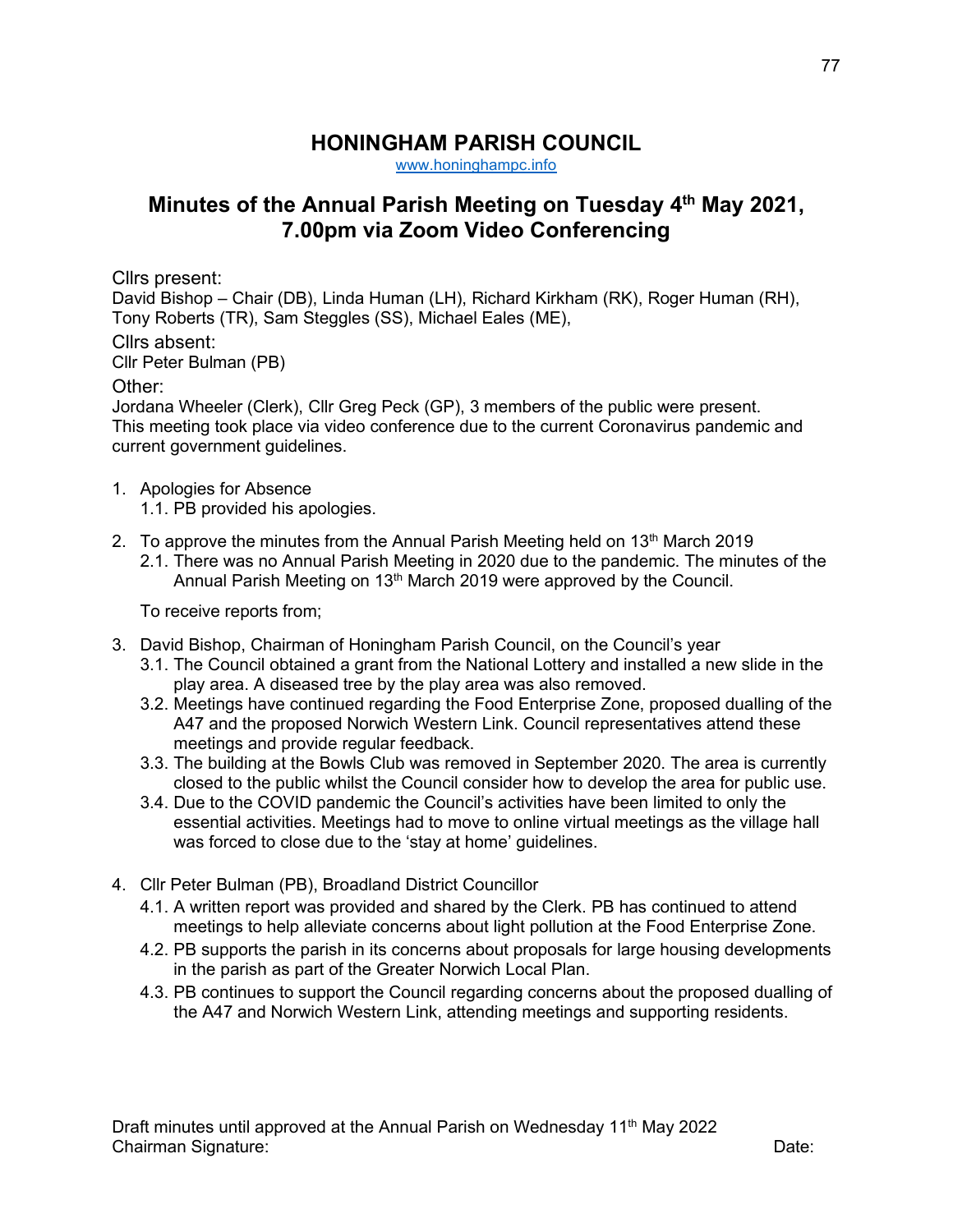## **HONINGHAM PARISH COUNCIL**

[www.honinghampc.info](http://www.honinghampc.info/)

## **Minutes of the Annual Parish Meeting on Tuesday 4th May 2021, 7.00pm via Zoom Video Conferencing**

Cllrs present:

David Bishop – Chair (DB), Linda Human (LH), Richard Kirkham (RK), Roger Human (RH), Tony Roberts (TR), Sam Steggles (SS), Michael Eales (ME),

Cllrs absent:

Cllr Peter Bulman (PB)

## Other:

Jordana Wheeler (Clerk), Cllr Greg Peck (GP), 3 members of the public were present. This meeting took place via video conference due to the current Coronavirus pandemic and current government guidelines.

- 1. Apologies for Absence
	- 1.1. PB provided his apologies.
- 2. To approve the minutes from the Annual Parish Meeting held on  $13<sup>th</sup>$  March 2019 2.1. There was no Annual Parish Meeting in 2020 due to the pandemic. The minutes of the
	- Annual Parish Meeting on 13<sup>th</sup> March 2019 were approved by the Council.

To receive reports from;

- 3. David Bishop, Chairman of Honingham Parish Council, on the Council's year
	- 3.1. The Council obtained a grant from the National Lottery and installed a new slide in the play area. A diseased tree by the play area was also removed.
	- 3.2. Meetings have continued regarding the Food Enterprise Zone, proposed dualling of the A47 and the proposed Norwich Western Link. Council representatives attend these meetings and provide regular feedback.
	- 3.3. The building at the Bowls Club was removed in September 2020. The area is currently closed to the public whilst the Council consider how to develop the area for public use.
	- 3.4. Due to the COVID pandemic the Council's activities have been limited to only the essential activities. Meetings had to move to online virtual meetings as the village hall was forced to close due to the 'stay at home' guidelines.
- 4. Cllr Peter Bulman (PB), Broadland District Councillor
	- 4.1. A written report was provided and shared by the Clerk. PB has continued to attend meetings to help alleviate concerns about light pollution at the Food Enterprise Zone.
	- 4.2. PB supports the parish in its concerns about proposals for large housing developments in the parish as part of the Greater Norwich Local Plan.
	- 4.3. PB continues to support the Council regarding concerns about the proposed dualling of the A47 and Norwich Western Link, attending meetings and supporting residents.